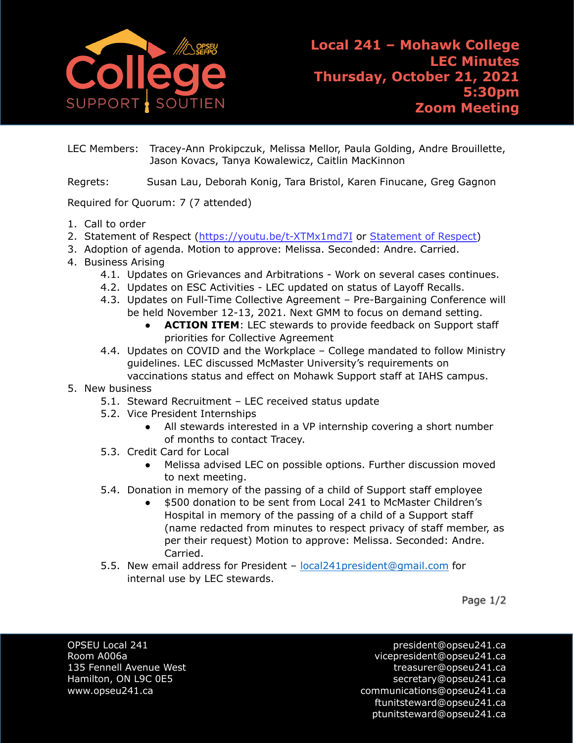

LEC Members: Tracey-Ann Prokipczuk, Melissa Mellor, Paula Golding, Andre Brouillette, Jason Kovacs, Tanya Kowalewicz, Caitlin MacKinnon

Regrets: Susan Lau, Deborah Konig, Tara Bristol, Karen Finucane, Greg Gagnon

## Required for Quorum: 7 (7 attended)

- 1. Call to order
- 2. [Statement of Respect](https://opseu.org/wp-content/uploads/2014/04/Statement-of-Respect-2019.pdf) [\(https://youtu.be/t-XTMx1md7I](https://youtu.be/t-XTMx1md7I) or [Statement of Respect\)](https://www.opseu.org/information/tools-and-resources/statement-of-respect/9709/)
- 3. Adoption of agenda. Motion to approve: Melissa. Seconded: Andre. Carried.
- 4. Business Arising
	- 4.1. Updates on Grievances and Arbitrations Work on several cases continues.
	- 4.2. Updates on ESC Activities LEC updated on status of Layoff Recalls.
	- 4.3. Updates on Full-Time Collective Agreement Pre-Bargaining Conference will be held November 12-13, 2021. Next GMM to focus on demand setting.
		- **ACTION ITEM:** LEC stewards to provide feedback on Support staff priorities for Collective Agreement
	- 4.4. Updates on COVID and the Workplace College mandated to follow Ministry guidelines. LEC discussed McMaster University's requirements on vaccinations status and effect on Mohawk Support staff at IAHS campus.
- 5. New business
	- 5.1. Steward Recruitment LEC received status update
	- 5.2. Vice President Internships
		- All stewards interested in a VP internship covering a short number of months to contact Tracey.
	- 5.3. Credit Card for Local
		- Melissa advised LEC on possible options. Further discussion moved to next meeting.
	- 5.4. Donation in memory of the passing of a child of Support staff employee
		- \$500 donation to be sent from Local 241 to McMaster Children's Hospital in memory of the passing of a child of a Support staff (name redacted from minutes to respect privacy of staff member, as per their request) Motion to approve: Melissa. Seconded: Andre. Carried.
	- 5.5. New email address for President [local241president@gmail.com](mailto:local241president@gmail.com) for internal use by LEC stewards.

Page 1/2

OPSEU Local 241 **president@opseu241.ca** 

Room A006a vicepresident@opseu241.ca 135 Fennell Avenue West [treasurer@opseu241.ca](mailto:treasurer@opseu241.ca) Hamilton, ON L9C 0E5 [secretary@opseu241.ca](mailto:secretary@opseu241.ca) www.opseu241.ca communications@opseu241.ca [ftunitsteward@opseu241.ca](mailto:ftunitsteward@opseu241.ca) ptunitsteward@opseu241.ca